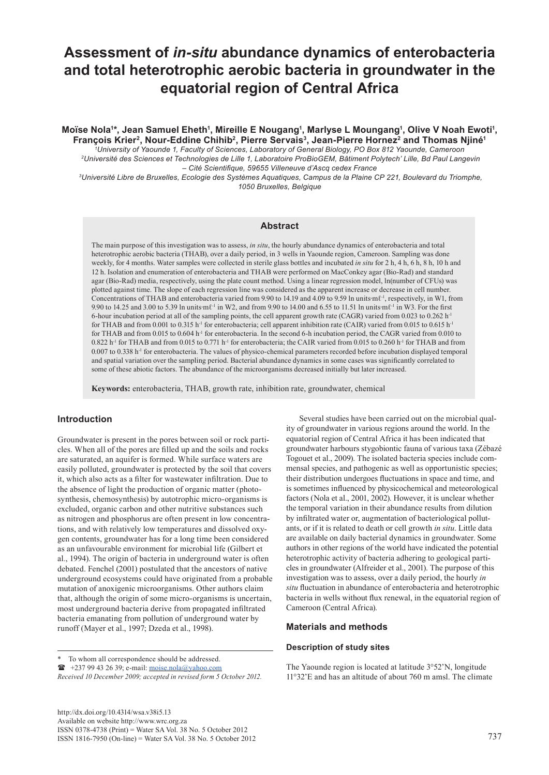# **Assessment of** *in-situ* **abundance dynamics of enterobacteria and total heterotrophic aerobic bacteria in groundwater in the equatorial region of Central Africa**

# Moïse Nola'\*, Jean Samuel Eheth', Mireille E Nougang<sup>1</sup>, Marlyse L Moungang', Olive V Noah Ewoti', **François Krier2, Nour-Eddine Chihib2, Pierre Servais3, Jean-Pierre Hornez2 and Thomas Njiné1**

*1 University of Yaounde 1, Faculty of Sciences, Laboratory of General Biology, PO Box 812 Yaounde, Cameroon 2Université des Sciences et Technologies de Lille 1, Laboratoire ProBioGEM, Bâtiment Polytech' Lille, Bd Paul Langevin – Cité Scientifique, 59655 Villeneuve d'Ascq cedex France*

*<sup>3</sup>Université Libre de Bruxelles, Ecologie des Systèmes Aquatiques, Campus de la Plaine CP 221, Boulevard du Triomphe, 1050 Bruxelles, Belgique*

# **Abstract**

The main purpose of this investigation was to assess, *in situ*, the hourly abundance dynamics of enterobacteria and total heterotrophic aerobic bacteria (THAB), over a daily period, in 3 wells in Yaounde region, Cameroon. Sampling was done weekly, for 4 months. Water samples were collected in sterile glass bottles and incubated *in situ* for 2 h, 4 h, 6 h, 8 h, 10 h and 12 h. Isolation and enumeration of enterobacteria and THAB were performed on MacConkey agar (Bio-Rad) and standard agar (Bio-Rad) media, respectively, using the plate count method. Using a linear regression model, ln(number of CFUs) was plotted against time. The slope of each regression line was considered as the apparent increase or decrease in cell number. Concentrations of THAB and enterobacteria varied from 9.90 to 14.19 and 4.09 to 9.59 ln units∙mℓ-1, respectively, in W1, from 9.90 to 14.25 and 3.00 to 5.39 ln units∙mℓ<sup>-1</sup> in W2, and from 9.90 to 14.00 and 6.55 to 11.51 ln units∙mℓ<sup>-1</sup> in W3. For the first 6-hour incubation period at all of the sampling points, the cell apparent growth rate (CAGR) varied from 0.023 to 0.262 h-1 for THAB and from 0.001 to 0.315 h<sup>-1</sup> for enterobacteria; cell apparent inhibition rate (CAIR) varied from 0.015 to 0.615 h<sup>-1</sup> for THAB and from 0.015 to 0.604 h<sup>-1</sup> for enterobacteria. In the second 6-h incubation period, the CAGR varied from 0.010 to 0.822 h-1 for THAB and from 0.015 to 0.771 h-1 for enterobacteria; the CAIR varied from 0.015 to 0.260 h-1 for THAB and from  $0.007$  to  $0.338$  h<sup>-1</sup> for enterobacteria. The values of physico-chemical parameters recorded before incubation displayed temporal and spatial variation over the sampling period. Bacterial abundance dynamics in some cases was significantly correlated to some of these abiotic factors. The abundance of the microorganisms decreased initially but later increased.

**Keywords:** enterobacteria, THAB, growth rate, inhibition rate, groundwater, chemical

# **Introduction**

Groundwater is present in the pores between soil or rock particles. When all of the pores are filled up and the soils and rocks are saturated, an aquifer is formed. While surface waters are easily polluted, groundwater is protected by the soil that covers it, which also acts as a filter for wastewater infiltration. Due to the absence of light the production of organic matter (photosynthesis, chemosynthesis) by autotrophic micro-organisms is excluded, organic carbon and other nutritive substances such as nitrogen and phosphorus are often present in low concentrations, and with relatively low temperatures and dissolved oxygen contents, groundwater has for a long time been considered as an unfavourable environment for microbial life (Gilbert et al*.*, 1994). The origin of bacteria in underground water is often debated. Fenchel (2001) postulated that the ancestors of native underground ecosystems could have originated from a probable mutation of anoxigenic microorganisms. Other authors claim that, although the origin of some micro-organisms is uncertain, most underground bacteria derive from propagated infiltrated bacteria emanating from pollution of underground water by runoff (Mayer et al., 1997; Dzeda et al., 1998).

[http://dx.doi.org/10.4314/wsa.v38i5.13](http://dx.doi.org/10.4314/wsa.v37i4.18)  Available on website http://www.wrc.org.za ISSN 0378-4738 (Print) = Water SA Vol. 38 No. 5 October 2012 ISSN 1816-7950 (On-line) = Water SA Vol. 38 No. 5 October 2012 737

Several studies have been carried out on the microbial quality of groundwater in various regions around the world. In the equatorial region of Central Africa it has been indicated that groundwater harbours stygobiontic fauna of various taxa (Zébazé Togouet et al., 2009). The isolated bacteria species include commensal species, and pathogenic as well as opportunistic species; their distribution undergoes fluctuations in space and time, and is sometimes influenced by physicochemical and meteorological factors (Nola et al., 2001, 2002). However, it is unclear whether the temporal variation in their abundance results from dilution by infiltrated water or, augmentation of bacteriological pollutants, or if it is related to death or cell growth *in situ*. Little data are available on daily bacterial dynamics in groundwater. Some authors in other regions of the world have indicated the potential heterotrophic activity of bacteria adhering to geological particles in groundwater (Alfreider et al., 2001). The purpose of this investigation was to assess, over a daily period, the hourly *in situ* fluctuation in abundance of enterobacteria and heterotrophic bacteria in wells without flux renewal, in the equatorial region of Cameroon (Central Africa).

# **Materials and methods**

#### **Description of study sites**

The Yaounde region is located at latitude 3°52'N, longitude 11°32'E and has an altitude of about 760 m amsl. The climate

To whom all correspondence should be addressed.

 $\bullet$  +237 99 43 26 39; e-mail: moise.nola@yahoo.com

*Received 10 December 2009; accepted in revised form 5 October 2012.*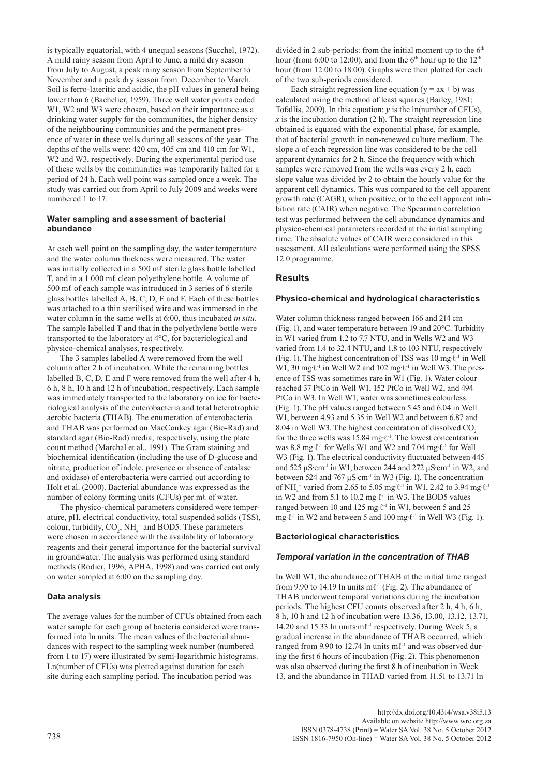is typically equatorial, with 4 unequal seasons (Succhel, 1972). A mild rainy season from April to June, a mild dry season from July to August, a peak rainy season from September to November and a peak dry season from December to March. Soil is ferro-lateritic and acidic, the pH values in general being lower than 6 (Bachelier, 1959). Three well water points coded W1, W2 and W3 were chosen, based on their importance as a drinking water supply for the communities, the higher density of the neighbouring communities and the permanent presence of water in these wells during all seasons of the year. The depths of the wells were: 420 cm, 405 cm and 410 cm for W1, W<sub>2</sub> and W<sub>3</sub>, respectively. During the experimental period use of these wells by the communities was temporarily halted for a period of 24 h. Each well point was sampled once a week. The study was carried out from April to July 2009 and weeks were numbered 1 to 17.

## **Water sampling and assessment of bacterial abundance**

At each well point on the sampling day, the water temperature and the water column thickness were measured. The water was initially collected in a 500 mℓ sterile glass bottle labelled T, and in a 1 000 mℓ clean polyethylene bottle. A volume of 500 mℓ of each sample was introduced in 3 series of 6 sterile glass bottles labelled A, B, C, D, E and F. Each of these bottles was attached to a thin sterilised wire and was immersed in the water column in the same wells at 6:00, thus incubated *in situ*. The sample labelled T and that in the polyethylene bottle were transported to the laboratory at 4°C, for bacteriological and physico-chemical analyses, respectively.

The 3 samples labelled A were removed from the well column after 2 h of incubation. While the remaining bottles labelled B, C, D, E and F were removed from the well after 4 h, 6 h, 8 h, 10 h and 12 h of incubation, respectively. Each sample was immediately transported to the laboratory on ice for bacteriological analysis of the enterobacteria and total heterotrophic aerobic bacteria (THAB). The enumeration of enterobacteria and THAB was performed on MacConkey agar (Bio-Rad) and standard agar (Bio-Rad) media, respectively, using the plate count method (Marchal et al., 1991). The Gram staining and biochemical identification (including the use of D-glucose and nitrate, production of indole, presence or absence of catalase and oxidase) of enterobacteria were carried out according to Holt et al. (2000). Bacterial abundance was expressed as the number of colony forming units (CFUs) per mℓ of water.

The physico-chemical parameters considered were temperature, pH, electrical conductivity, total suspended solids (TSS), colour, turbidity,  $CO_2$ , NH<sub>4</sub><sup>+</sup> and BOD5. These parameters were chosen in accordance with the availability of laboratory reagents and their general importance for the bacterial survival in groundwater. The analysis was performed using standard methods (Rodier, 1996; APHA, 1998) and was carried out only on water sampled at 6:00 on the sampling day.

## **Data analysis**

The average values for the number of CFUs obtained from each water sample for each group of bacteria considered were transformed into ln units. The mean values of the bacterial abundances with respect to the sampling week number (numbered from 1 to 17) were illustrated by semi-logarithmic histograms. Ln(number of CFUs) was plotted against duration for each site during each sampling period. The incubation period was

divided in 2 sub-periods: from the initial moment up to the  $6<sup>th</sup>$ hour (from 6:00 to 12:00), and from the 6<sup>th</sup> hour up to the 12<sup>th</sup> hour (from 12:00 to 18:00). Graphs were then plotted for each of the two sub-periods considered.

Each straight regression line equation ( $y = ax + b$ ) was calculated using the method of least squares (Bailey, 1981; Tofallis, 2009). In this equation: *y* is the ln(number of CFUs),  *is the incubation duration (2 h). The straight regression line* obtained is equated with the exponential phase, for example, that of bacterial growth in non-renewed culture medium. The slope *a* of each regression line was considered to be the cell apparent dynamics for 2 h. Since the frequency with which samples were removed from the wells was every 2 h, each slope value was divided by 2 to obtain the hourly value for the apparent cell dynamics. This was compared to the cell apparent growth rate (CAGR), when positive, or to the cell apparent inhibition rate (CAIR) when negative. The Spearman correlation test was performed between the cell abundance dynamics and physico-chemical parameters recorded at the initial sampling time. The absolute values of CAIR were considered in this assessment. All calculations were performed using the SPSS 12.0 programme.

# **Results**

#### **Physico-chemical and hydrological characteristics**

Water column thickness ranged between 166 and 214 cm (Fig. 1), and water temperature between 19 and 20°C. Turbidity in W1 varied from 1.2 to 7.7 NTU, and in Wells W2 and W3 varied from 1.4 to 32.4 NTU, and 1.8 to 103 NTU, respectively (Fig. 1). The highest concentration of TSS was 10 mg∙ℓ-1 in Well W1, 30 mg⋅ℓ<sup>-1</sup> in Well W2 and 102 mg⋅ℓ<sup>-1</sup> in Well W3. The presence of TSS was sometimes rare in W1 (Fig. 1). Water colour reached 37 PtCo in Well W1, 152 PtCo in Well W2, and 494 PtCo in W3. In Well W1, water was sometimes colourless (Fig. 1). The pH values ranged between 5.45 and 6.04 in Well W1, between 4.93 and 5.35 in Well W2 and between 6.87 and 8.04 in Well W3. The highest concentration of dissolved CO<sub>2</sub> for the three wells was 15.84 mg⋅ $\ell$ <sup>-1</sup>. The lowest concentration was 8.8 mg∙ℓ-1 for Wells W1 and W2 and 7.04 mg∙ℓ-1 for Well W<sub>3</sub> (Fig. 1). The electrical conductivity fluctuated between 445 and 525 μS⋅cm<sup>-1</sup> in W1, between 244 and 272 μS⋅cm<sup>-1</sup> in W2, and between 524 and 767 μS∙cm-1 in W3 (Fig. 1). The concentration of NH<sub>4</sub><sup>+</sup> varied from 2.65 to 5.05 mg⋅ $\ell$ <sup>-1</sup> in W1, 2.42 to 3.94 mg⋅ $\ell$ <sup>-1</sup> in W2 and from 5.1 to 10.2 mg∙ℓ-1 in W3. The BOD5 values ranged between 10 and 125 mg∙ℓ-1 in W1, between 5 and 25 mg∙ℓ-1 in W2 and between 5 and 100 mg∙ℓ-1 in Well W3 (Fig. 1).

## **Bacteriological characteristics**

## *Temporal variation in the concentration of THAB*

In Well W1, the abundance of THAB at the initial time ranged from 9.90 to 14.19 ln units m $\ell$ <sup>-1</sup> (Fig. 2). The abundance of THAB underwent temporal variations during the incubation periods. The highest CFU counts observed after 2 h, 4 h, 6 h, 8 h, 10 h and 12 h of incubation were 13.36, 13.00, 13.12, 13.71, 14.20 and 15.33 ln units∙mℓ-1 respectively. During Week 5, a gradual increase in the abundance of THAB occurred, which ranged from 9.90 to 12.74 ln units  $m\ell$ <sup>-1</sup> and was observed during the first 6 hours of incubation (Fig. 2). This phenomenon was also observed during the first 8 h of incubation in Week 13, and the abundance in THAB varied from 11.51 to 13.71 ln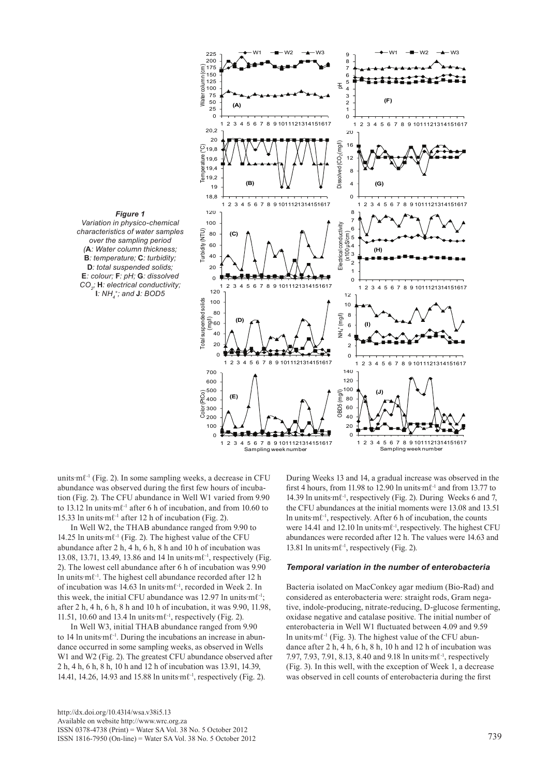

units∙mℓ-1 (Fig. 2). In some sampling weeks, a decrease in CFU abundance was observed during the first few hours of incubation (Fig. 2). The CFU abundance in Well W1 varied from 9.90 to 13.12 ln units∙mℓ-1 after 6 h of incubation, and from 10.60 to 15.33 ln units∙mℓ-1 after 12 h of incubation (Fig. 2).

In Well W2, the THAB abundance ranged from 9.90 to 14.25 ln units∙mℓ-1 (Fig. 2). The highest value of the CFU abundance after 2 h, 4 h, 6 h, 8 h and 10 h of incubation was 13.08, 13.71, 13.49, 13.86 and 14 ln units∙mℓ-1, respectively (Fig. 2). The lowest cell abundance after 6 h of incubation was 9.90 ln units∙mℓ-1. The highest cell abundance recorded after 12 h of incubation was 14.63 ln units∙mℓ-1, recorded in Week 2. In this week, the initial CFU abundance was 12.97 ln units∙mℓ-1; after 2 h, 4 h, 6 h, 8 h and 10 h of incubation, it was 9.90, 11.98, 11.51, 10.60 and 13.4 ln units∙mℓ-1, respectively (Fig. 2).

In Well W3, initial THAB abundance ranged from 9.90 to 14 ln units∙mℓ-1. During the incubations an increase in abundance occurred in some sampling weeks, as observed in Wells W1 and W2 (Fig. 2). The greatest CFU abundance observed after 2 h, 4 h, 6 h, 8 h, 10 h and 12 h of incubation was 13.91, 14.39, 14.41, 14.26, 14.93 and 15.88 ln units∙mℓ-1, respectively (Fig. 2).

 $s$ , a decrease in CFU During Weeks 13 and 14, a gradual increase was observed in the first 4 hours, from 11.98 to 12.90 ln units∙mℓ-1 and from 13.77 to 14.39 ln units∙mℓ-1, respectively (Fig. 2). During Weeks 6 and 7, the CFU abundances at the initial moments were 13.08 and 13.51 ln units∙mℓ-1, respectively. After 6 h of incubation, the counts were 14.41 and 12.10 ln units∙mℓ-1,respectively. The highest CFU abundances were recorded after 12 h. The values were 14.63 and 13.81 ln units∙mℓ-1, respectively (Fig. 2).  $\alpha$  a decrease in CFU During Weeks 13 and 14, a gradual increase was o

# *Temporal variation in the number of enterobacteria*

Bacteria isolated on MacConkey agar medium (Bio-Rad) and considered as enterobacteria were: straight rods, Gram negative, indole-producing, nitrate-reducing, D-glucose fermenting, oxidase negative and catalase positive. The initial number of enterobacteria in Well W1 fluctuated between 4.09 and 9.59 ln units∙mℓ-1 (Fig. 3). The highest value of the CFU abundance after 2 h, 4 h, 6 h, 8 h, 10 h and 12 h of incubation was 7.97, 7.93, 7.91, 8.13, 8.40 and 9.18 ln units∙mℓ<sup>-1</sup>, respectively (Fig. 3). In this well, with the exception of Week 1, a decrease was observed in cell counts of enterobacteria during the first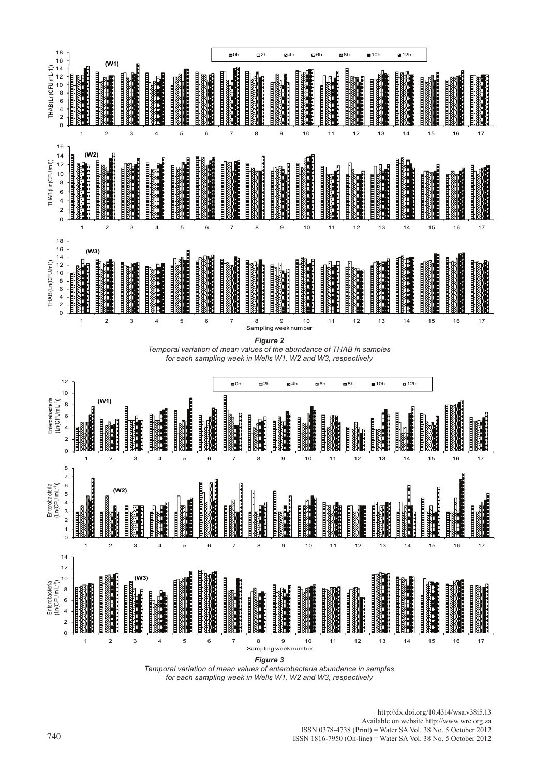

*Figure 2*

Figure 2: Temporal variation of mean values of the abundance of THAB in samples during each sampling week in wells W1, W2 and W3 respectively. *Temporal variation of mean values of the abundance of THAB in samples for each sampling week in Wells W1, W2 and W3, respectively*



*Figure 3*

Figure 3: Temporal variation of mean values of the Enterobacteria abundance in samples during each sampling week in wells W1, W2 and W3 *Temporal variation of mean values of enterobacteria abundance in samples for each sampling week in Wells W1, W2 and W3, respectively*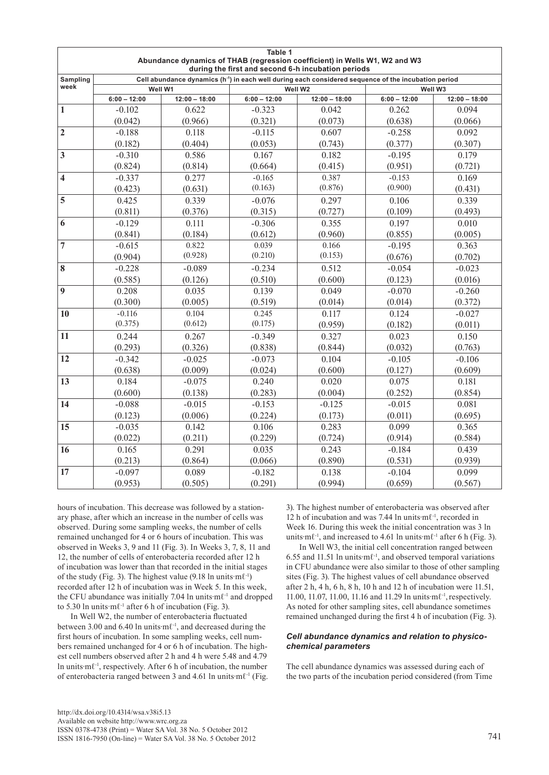| Table 1                                                                                                                          |                                                                                                                  |                 |                |                 |                |                 |  |  |  |  |
|----------------------------------------------------------------------------------------------------------------------------------|------------------------------------------------------------------------------------------------------------------|-----------------|----------------|-----------------|----------------|-----------------|--|--|--|--|
| Abundance dynamics of THAB (regression coefficient) in Wells W1, W2 and W3<br>during the first and second 6-h incubation periods |                                                                                                                  |                 |                |                 |                |                 |  |  |  |  |
| Sampling                                                                                                                         | Cell abundance dynamics (h <sup>-1</sup> ) in each well during each considered sequence of the incubation period |                 |                |                 |                |                 |  |  |  |  |
| week                                                                                                                             |                                                                                                                  | Well W1         |                | Well W2         | Well W3        |                 |  |  |  |  |
|                                                                                                                                  | $6:00 - 12:00$                                                                                                   | $12:00 - 18:00$ | $6:00 - 12:00$ | $12:00 - 18:00$ | $6:00 - 12:00$ | $12:00 - 18:00$ |  |  |  |  |
| $\mathbf{1}$                                                                                                                     | $-0.102$                                                                                                         | 0.622           | $-0.323$       | 0.042           | 0.262          | 0.094           |  |  |  |  |
|                                                                                                                                  | (0.042)                                                                                                          | (0.966)         | (0.321)        | (0.073)         | (0.638)        | (0.066)         |  |  |  |  |
| $\overline{2}$                                                                                                                   | $-0.188$                                                                                                         | 0.118           | $-0.115$       | 0.607           | $-0.258$       | 0.092           |  |  |  |  |
|                                                                                                                                  | (0.182)                                                                                                          | (0.404)         | (0.053)        | (0.743)         | (0.377)        | (0.307)         |  |  |  |  |
| $\overline{\mathbf{3}}$                                                                                                          | $-0.310$                                                                                                         | 0.586           | 0.167          | 0.182           | $-0.195$       | 0.179           |  |  |  |  |
|                                                                                                                                  | (0.824)                                                                                                          | (0.814)         | (0.664)        | (0.415)         | (0.951)        | (0.721)         |  |  |  |  |
| 4                                                                                                                                | $-0.337$                                                                                                         | 0.277           | $-0.165$       | 0.387           | $-0.153$       | 0.169           |  |  |  |  |
|                                                                                                                                  | (0.423)                                                                                                          | (0.631)         | (0.163)        | (0.876)         | (0.900)        | (0.431)         |  |  |  |  |
| 5                                                                                                                                | 0.425                                                                                                            | 0.339           | $-0.076$       | 0.297           | 0.106          | 0.339           |  |  |  |  |
|                                                                                                                                  | (0.811)                                                                                                          | (0.376)         | (0.315)        | (0.727)         | (0.109)        | (0.493)         |  |  |  |  |
| 6                                                                                                                                | $-0.129$                                                                                                         | 0.111           | $-0.306$       | 0.355           | 0.197          | 0.010           |  |  |  |  |
|                                                                                                                                  | (0.841)                                                                                                          | (0.184)         | (0.612)        | (0.960)         | (0.855)        | (0.005)         |  |  |  |  |
| 7                                                                                                                                | $-0.615$                                                                                                         | 0.822           | 0.039          | 0.166           | $-0.195$       | 0.363           |  |  |  |  |
|                                                                                                                                  | (0.904)                                                                                                          | (0.928)         | (0.210)        | (0.153)         | (0.676)        | (0.702)         |  |  |  |  |
| 8                                                                                                                                | $-0.228$                                                                                                         | $-0.089$        | $-0.234$       | 0.512           | $-0.054$       | $-0.023$        |  |  |  |  |
|                                                                                                                                  | (0.585)                                                                                                          | (0.126)         | (0.510)        | (0.600)         | (0.123)        | (0.016)         |  |  |  |  |
| $\overline{9}$                                                                                                                   | 0.208                                                                                                            | 0.035           | 0.139          | 0.049           | $-0.070$       | $-0.260$        |  |  |  |  |
|                                                                                                                                  | (0.300)                                                                                                          | (0.005)         | (0.519)        | (0.014)         | (0.014)        | (0.372)         |  |  |  |  |
| 10                                                                                                                               | $-0.116$                                                                                                         | 0.104           | 0.245          | 0.117           | 0.124          | $-0.027$        |  |  |  |  |
|                                                                                                                                  | (0.375)                                                                                                          | (0.612)         | (0.175)        | (0.959)         | (0.182)        | (0.011)         |  |  |  |  |
| 11                                                                                                                               | 0.244                                                                                                            | 0.267           | $-0.349$       | 0.327           | 0.023          | 0.150           |  |  |  |  |
|                                                                                                                                  | (0.293)                                                                                                          | (0.326)         | (0.838)        | (0.844)         | (0.032)        | (0.763)         |  |  |  |  |
| 12                                                                                                                               | $-0.342$                                                                                                         | $-0.025$        | $-0.073$       | 0.104           | $-0.105$       | $-0.106$        |  |  |  |  |
|                                                                                                                                  | (0.638)                                                                                                          | (0.009)         | (0.024)        | (0.600)         | (0.127)        | (0.609)         |  |  |  |  |
| 13                                                                                                                               | 0.184                                                                                                            | $-0.075$        | 0.240          | 0.020           | 0.075          | 0.181           |  |  |  |  |
|                                                                                                                                  | (0.600)                                                                                                          | (0.138)         | (0.283)        | (0.004)         | (0.252)        | (0.854)         |  |  |  |  |
| 14                                                                                                                               | $-0.088$                                                                                                         | $-0.015$        | $-0.153$       | $-0.125$        | $-0.015$       | 0.081           |  |  |  |  |
|                                                                                                                                  | (0.123)                                                                                                          | (0.006)         | (0.224)        | (0.173)         | (0.011)        | (0.695)         |  |  |  |  |
| 15                                                                                                                               | $-0.035$                                                                                                         | 0.142           | 0.106          | 0.283           | 0.099          | 0.365           |  |  |  |  |
|                                                                                                                                  | (0.022)                                                                                                          | (0.211)         | (0.229)        | (0.724)         | (0.914)        | (0.584)         |  |  |  |  |
| 16                                                                                                                               | 0.165                                                                                                            | 0.291           | 0.035          | 0.243           | $-0.184$       | 0.439           |  |  |  |  |
|                                                                                                                                  | (0.213)                                                                                                          | (0.864)         | (0.066)        | (0.890)         | (0.531)        | (0.939)         |  |  |  |  |
| 17                                                                                                                               | $-0.097$                                                                                                         | 0.089           | $-0.182$       | 0.138           | $-0.104$       | 0.099           |  |  |  |  |
|                                                                                                                                  | (0.953)                                                                                                          | (0.505)         | (0.291)        | (0.994)         | (0.659)        | (0.567)         |  |  |  |  |

hours of incubation. This decrease was followed by a stationary phase, after which an increase in the number of cells was observed. During some sampling weeks, the number of cells remained unchanged for 4 or 6 hours of incubation. This was observed in Weeks 3, 9 and 11 (Fig. 3). In Weeks 3, 7, 8, 11 and 12, the number of cells of enterobacteria recorded after 12 h of incubation was lower than that recorded in the initial stages of the study (Fig. 3). The highest value (9.18 ln units  $m\ell^{-1}$ ) recorded after 12 h of incubation was in Week 5. In this week, the CFU abundance was initially 7.04 ln units∙mℓ-1 and dropped to 5.30 ln units  $m\ell^{-1}$  after 6 h of incubation (Fig. 3).

In Well W2, the number of enterobacteria fluctuated between 3.00 and 6.40 ln units∙mℓ-1, and decreased during the first hours of incubation. In some sampling weeks, cell numbers remained unchanged for 4 or 6 h of incubation. The highest cell numbers observed after 2 h and 4 h were 5.48 and 4.79 ln units∙mℓ-1, respectively. After 6 h of incubation, the number of enterobacteria ranged between 3 and 4.61 ln units∙mℓ-1 (Fig. 3). The highest number of enterobacteria was observed after 12 h of incubation and was 7.44 ln units∙mℓ-1, recorded in Week 16. During this week the initial concentration was 3 ln units⋅mℓ<sup>-1</sup>, and increased to 4.61 ln units⋅mℓ<sup>-1</sup> after 6 h (Fig. 3).

In Well W3, the initial cell concentration ranged between 6.55 and 11.51 ln units∙mℓ-1, and observed temporal variations in CFU abundance were also similar to those of other sampling sites (Fig. 3). The highest values of cell abundance observed after 2 h, 4 h, 6 h, 8 h, 10 h and 12 h of incubation were  $11.51$ , 11.00, 11.07, 11.00, 11.16 and 11.29 ln units∙mℓ-1,respectively. As noted for other sampling sites, cell abundance sometimes remained unchanged during the first 4 h of incubation (Fig. 3).

# *Cell abundance dynamics and relation to physicochemical parameters*

The cell abundance dynamics was assessed during each of the two parts of the incubation period considered (from Time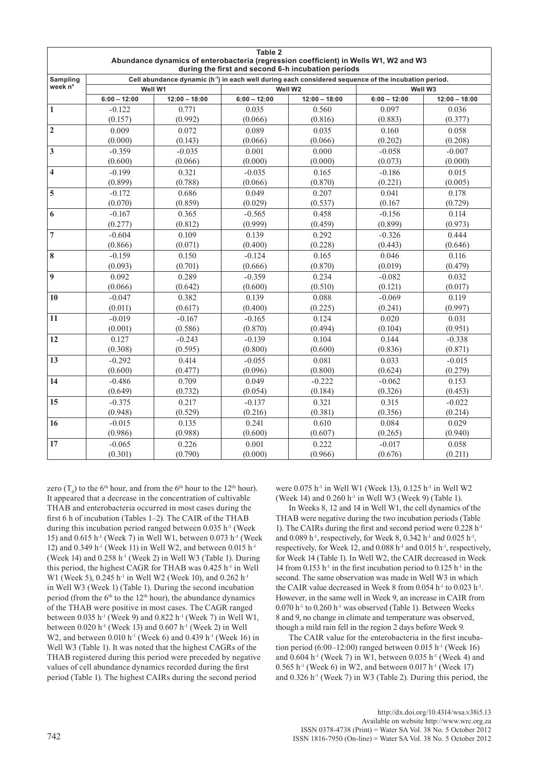| Table 2<br>Abundance dynamics of enterobacteria (regression coefficient) in Wells W1, W2 and W3 |                |                                                                                                                  |                |                                                    |                |                 |  |  |  |  |
|-------------------------------------------------------------------------------------------------|----------------|------------------------------------------------------------------------------------------------------------------|----------------|----------------------------------------------------|----------------|-----------------|--|--|--|--|
|                                                                                                 |                |                                                                                                                  |                | during the first and second 6-h incubation periods |                |                 |  |  |  |  |
| Sampling                                                                                        |                | Cell abundance dynamic (h <sup>-1</sup> ) in each well during each considered sequence of the incubation period. |                |                                                    |                |                 |  |  |  |  |
| week n°                                                                                         |                | Well W1                                                                                                          |                | Well W2                                            |                | Well W3         |  |  |  |  |
|                                                                                                 | $6:00 - 12:00$ | $12:00 - 18:00$                                                                                                  | $6:00 - 12:00$ | $12:00 - 18:00$                                    | $6:00 - 12:00$ | $12:00 - 18:00$ |  |  |  |  |
| 1                                                                                               | $-0.122$       | 0.771                                                                                                            | 0.035          | 0.560                                              | 0.097          | 0.036           |  |  |  |  |
|                                                                                                 | (0.157)        | (0.992)                                                                                                          | (0.066)        | (0.816)                                            | (0.883)        | (0.377)         |  |  |  |  |
| $\overline{2}$                                                                                  | 0.009          | 0.072                                                                                                            | 0.089          | 0.035                                              | 0.160          | 0.058           |  |  |  |  |
|                                                                                                 | (0.000)        | (0.143)                                                                                                          | (0.066)        | (0.066)                                            | (0.202)        | (0.208)         |  |  |  |  |
| $\mathbf{3}$                                                                                    | $-0.359$       | $-0.035$                                                                                                         | 0.001          | 0.000                                              | $-0.058$       | $-0.007$        |  |  |  |  |
|                                                                                                 | (0.600)        | (0.066)                                                                                                          | (0.000)        | (0.000)                                            | (0.073)        | (0.000)         |  |  |  |  |
| 4                                                                                               | $-0.199$       | 0.321                                                                                                            | $-0.035$       | 0.165                                              | $-0.186$       | 0.015           |  |  |  |  |
|                                                                                                 | (0.899)        | (0.788)                                                                                                          | (0.066)        | (0.870)                                            | (0.221)        | (0.005)         |  |  |  |  |
| 5                                                                                               | $-0.172$       | 0.686                                                                                                            | 0.049          | 0.207                                              | 0.041          |                 |  |  |  |  |
|                                                                                                 | (0.070)        | (0.859)                                                                                                          | (0.029)        | (0.537)                                            | (0.167)        | (0.729)         |  |  |  |  |
| 6                                                                                               | $-0.167$       | 0.365                                                                                                            | $-0.565$       | 0.458                                              | $-0.156$       | 0.114           |  |  |  |  |
|                                                                                                 | (0.277)        | (0.812)                                                                                                          | (0.999)        | (0.459)                                            | (0.899)        | (0.973)         |  |  |  |  |
| $\overline{7}$                                                                                  | $-0.604$       | 0.109                                                                                                            | 0.139          | 0.292                                              | $-0.326$       | 0.444           |  |  |  |  |
|                                                                                                 | (0.866)        | (0.071)                                                                                                          | (0.400)        | (0.228)                                            | (0.443)        | (0.646)         |  |  |  |  |
| 8                                                                                               | $-0.159$       | 0.150                                                                                                            | $-0.124$       | 0.165                                              | 0.046          | 0.116           |  |  |  |  |
|                                                                                                 | (0.093)        | (0.701)                                                                                                          | (0.666)        | (0.870)                                            | (0.019)        | (0.479)         |  |  |  |  |
| 9                                                                                               | 0.092          | 0.289                                                                                                            | $-0.359$       | 0.234                                              | $-0.082$       | 0.032           |  |  |  |  |
|                                                                                                 | (0.066)        | (0.642)                                                                                                          | (0.600)        | (0.510)                                            | (0.121)        | (0.017)         |  |  |  |  |
| 10                                                                                              | $-0.047$       | 0.382                                                                                                            | 0.139          | 0.088                                              | $-0.069$       | 0.119           |  |  |  |  |
|                                                                                                 | (0.011)        | (0.617)                                                                                                          | (0.400)        | (0.225)                                            | (0.241)        | (0.997)         |  |  |  |  |
| 11                                                                                              | $-0.019$       | $-0.167$                                                                                                         | $-0.165$       | 0.124                                              | 0.020          | 0.031           |  |  |  |  |
|                                                                                                 | (0.001)        | (0.586)                                                                                                          | (0.870)        | (0.494)                                            | (0.104)        | (0.951)         |  |  |  |  |
| 12                                                                                              | 0.127          | $-0.243$                                                                                                         | $-0.139$       | 0.104                                              | 0.144          |                 |  |  |  |  |
|                                                                                                 | (0.308)        | (0.595)                                                                                                          | (0.800)        | (0.600)                                            | (0.836)        | (0.871)         |  |  |  |  |
| 13                                                                                              | $-0.292$       | 0.414                                                                                                            | $-0.055$       | 0.081                                              | 0.033          | $-0.015$        |  |  |  |  |
|                                                                                                 | (0.600)        | (0.477)                                                                                                          | (0.096)        | (0.800)                                            | (0.624)        | (0.279)         |  |  |  |  |
| 14                                                                                              | $-0.486$       | 0.709                                                                                                            | 0.049          | $-0.222$                                           | $-0.062$       | 0.153           |  |  |  |  |
|                                                                                                 | (0.649)        | (0.732)                                                                                                          | (0.054)        | (0.184)                                            | (0.326)        | (0.453)         |  |  |  |  |
| 15                                                                                              | $-0.375$       | 0.217                                                                                                            | $-0.137$       | 0.321                                              | 0.315          | $-0.022$        |  |  |  |  |
|                                                                                                 | (0.948)        | (0.529)                                                                                                          | (0.216)        | (0.381)                                            | (0.356)        | (0.214)         |  |  |  |  |
| 16                                                                                              | $-0.015$       | 0.135                                                                                                            | 0.241          | 0.610                                              | 0.084          | 0.029           |  |  |  |  |
|                                                                                                 | (0.986)        | (0.988)                                                                                                          | (0.600)        | (0.607)                                            | (0.265)        | (0.940)         |  |  |  |  |
| 17                                                                                              | $-0.065$       | 0.226                                                                                                            | 0.001          | 0.222                                              | $-0.017$       | 0.058           |  |  |  |  |
|                                                                                                 | (0.301)        | (0.790)                                                                                                          | (0.000)        | (0.966)                                            | (0.676)        | (0.211)         |  |  |  |  |

zero ( $T_0$ ) to the 6<sup>th</sup> hour, and from the 6<sup>th</sup> hour to the 12<sup>th</sup> hour). It appeared that a decrease in the concentration of cultivable THAB and enterobacteria occurred in most cases during the first 6 h of incubation (Tables 1–2). The CAIR of the THAB during this incubation period ranged between 0.035 h<sup>-1</sup> (Week 15) and 0.615 h<sup>-1</sup> (Week 7) in Well W1, between 0.073 h<sup>-1</sup> (Week 12) and 0.349 h<sup>-1</sup> (Week 11) in Well W2, and between 0.015 h<sup>-1</sup> (Week 14) and  $0.258$  h<sup>-1</sup> (Week 2) in Well W3 (Table 1). During this period, the highest CAGR for THAB was 0.425 h-1 in Well W1 (Week 5), 0.245 h<sup>-1</sup> in Well W2 (Week 10), and 0.262 h<sup>-1</sup> in Well W3 (Week 1) (Table 1). During the second incubation period (from the  $6<sup>th</sup>$  to the 12<sup>th</sup> hour), the abundance dynamics of the THAB were positive in most cases. The CAGR ranged between  $0.035$  h<sup>-1</sup> (Week 9) and  $0.822$  h<sup>-1</sup> (Week 7) in Well W1, between  $0.020$  h<sup>-1</sup> (Week 13) and  $0.607$  h<sup>-1</sup> (Week 2) in Well W2, and between 0.010 h<sup>-1</sup> (Week 6) and 0.439 h<sup>-1</sup> (Week 16) in Well W3 (Table 1). It was noted that the highest CAGRs of the THAB registered during this period were preceded by negative values of cell abundance dynamics recorded during the first period (Table 1). The highest CAIRs during the second period

were 0.075 h<sup>-1</sup> in Well W1 (Week 13), 0.125 h<sup>-1</sup> in Well W2 (Week 14) and 0.260 h-1 in Well W3 (Week 9) (Table 1).

In Weeks 8, 12 and 14 in Well W1, the cell dynamics of the THAB were negative during the two incubation periods (Table 1). The CAIRs during the first and second period were 0.228 h-1 and 0.089 h<sup>-1</sup>, respectively, for Week 8, 0.342 h<sup>-1</sup> and 0.025 h<sup>-1</sup>, respectively, for Week 12, and  $0.088$  h<sup>-1</sup> and  $0.015$  h<sup>-1</sup>, respectively, for Week 14 (Table 1). In Well W2, the CAIR decreased in Week 14 from 0.153 h<sup>-1</sup> in the first incubation period to 0.125 h<sup>-1</sup> in the second. The same observation was made in Well W3 in which the CAIR value decreased in Week 8 from  $0.054$  h<sup>-1</sup> to  $0.023$  h<sup>-1</sup>. However, in the same well in Week 9, an increase in CAIR from  $0.070$  h<sup>-1</sup> to  $0.260$  h<sup>-1</sup> was observed (Table 1). Between Weeks 8 and 9, no change in climate and temperature was observed, though a mild rain fell in the region 2 days before Week 9.

The CAIR value for the enterobacteria in the first incubation period  $(6.00-12.00)$  ranged between 0.015 h<sup>-1</sup> (Week 16) and  $0.604$  h<sup>-1</sup> (Week 7) in W1, between 0.035 h<sup>-1</sup> (Week 4) and  $0.565$  h<sup>-1</sup> (Week 6) in W2, and between 0.017 h<sup>-1</sup> (Week 17) and  $0.326$  h<sup>-1</sup> (Week 7) in W3 (Table 2). During this period, the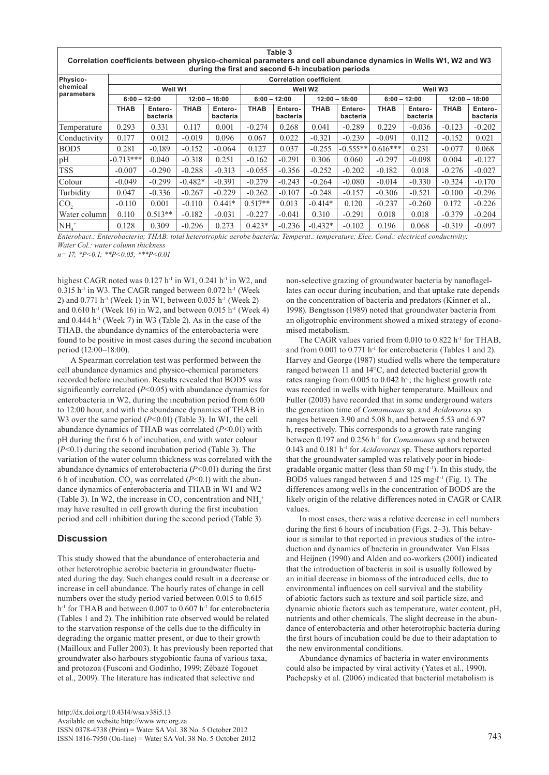|                                                                                                                                                                       |                                |                     |                 |                     |                | Table 3             |                 |                     |                     |                     |                 |                     |
|-----------------------------------------------------------------------------------------------------------------------------------------------------------------------|--------------------------------|---------------------|-----------------|---------------------|----------------|---------------------|-----------------|---------------------|---------------------|---------------------|-----------------|---------------------|
| Correlation coefficients between physico-chemical parameters and cell abundance dynamics in Wells W1, W2 and W3<br>during the first and second 6-h incubation periods |                                |                     |                 |                     |                |                     |                 |                     |                     |                     |                 |                     |
| <b>Physico-</b>                                                                                                                                                       | <b>Correlation coefficient</b> |                     |                 |                     |                |                     |                 |                     |                     |                     |                 |                     |
| <b>chemical</b><br>parameters                                                                                                                                         | Well W1                        |                     |                 |                     | Well W2        |                     |                 |                     | Well W <sub>3</sub> |                     |                 |                     |
|                                                                                                                                                                       | $6:00 - 12:00$                 |                     | $12:00 - 18:00$ |                     | $6:00 - 12:00$ |                     | $12:00 - 18:00$ |                     | $6:00 - 12:00$      |                     | $12:00 - 18:00$ |                     |
|                                                                                                                                                                       | <b>THAB</b>                    | Entero-<br>bacteria | <b>THAB</b>     | Entero-<br>bacteria | <b>THAB</b>    | Entero-<br>bacteria | <b>THAB</b>     | Entero-<br>bacteria | <b>THAB</b>         | Entero-<br>bacteria | <b>THAB</b>     | Entero-<br>bacteria |
| Temperature                                                                                                                                                           | 0.293                          | 0.331               | 0.117           | 0.001               | $-0.274$       | 0.268               | 0.041           | $-0.289$            | 0.229               | $-0.036$            | $-0.123$        | $-0.202$            |
| Conductivity                                                                                                                                                          | 0.177                          | 0.012               | $-0.019$        | 0.096               | 0.067          | 0.022               | $-0.321$        | $-0.239$            | $-0.091$            | 0.112               | $-0.152$        | 0.021               |
| BOD <sub>5</sub>                                                                                                                                                      | 0.281                          | $-0.189$            | $-0.152$        | $-0.064$            | 0.127          | 0.037               | $-0.255$        | $-0.555**$          | $0.616***$          | 0.231               | $-0.077$        | 0.068               |
| pH                                                                                                                                                                    | $-0.713***$                    | 0.040               | $-0.318$        | 0.251               | $-0.162$       | $-0.291$            | 0.306           | 0.060               | $-0.297$            | $-0.098$            | 0.004           | $-0.127$            |
| <b>TSS</b>                                                                                                                                                            | $-0.007$                       | $-0.290$            | $-0.288$        | $-0.313$            | $-0.055$       | $-0.356$            | $-0.252$        | $-0.202$            | $-0.182$            | 0.018               | $-0.276$        | $-0.027$            |
| Colour                                                                                                                                                                | $-0.049$                       | $-0.299$            | $-0.482*$       | $-0.391$            | $-0.279$       | $-0.243$            | $-0.264$        | $-0.080$            | $-0.014$            | $-0.330$            | $-0.324$        | $-0.170$            |
| Turbidity                                                                                                                                                             | 0.047                          | $-0.336$            | $-0.267$        | $-0.229$            | $-0.262$       | $-0.107$            | $-0.248$        | $-0.157$            | $-0.306$            | $-0.521$            | $-0.100$        | $-0.296$            |
| ICO.                                                                                                                                                                  | $-0.110$                       | 0.001               | $-0.110$        | $0.441*$            | $0.517**$      | 0.013               | $-0.414*$       | 0.120               | $-0.237$            | $-0.260$            | 0.172           | $-0.226$            |
| Water column                                                                                                                                                          | 0.110                          | $0.513**$           | $-0.182$        | $-0.031$            | $-0.227$       | $-0.041$            | 0.310           | $-0.291$            | 0.018               | 0.018               | $-0.379$        | $-0.204$            |
| $NH+$                                                                                                                                                                 | 0.128                          | 0.309               | $-0.296$        | 0.273               | $0.423*$       | $-0.236$            | $-0.432*$       | $-0.102$            | 0.196               | 0.068               | $-0.319$        | $-0.097$            |

*Enterobact.: Enterobacteria; THAB: total heterotrophic aerobe bacteria; Temperat.: temperature; Elec. Cond.: electrical conductivity; Water Col.: water column thickness*

*n= 17; \*P<0.1; \*\*P<0.05; \*\*\*P<0.01*

highest CAGR noted was  $0.127$  h<sup>-1</sup> in W1,  $0.241$  h<sup>-1</sup> in W2, and  $0.315$  h<sup>-1</sup> in W3. The CAGR ranged between  $0.072$  h<sup>-1</sup> (Week 2) and 0.771 h<sup>-1</sup> (Week 1) in W1, between 0.035 h<sup>-1</sup> (Week 2) and  $0.610$  h<sup>-1</sup> (Week 16) in W2, and between  $0.015$  h<sup>-1</sup> (Week 4) and  $0.444$  h<sup>-1</sup> (Week 7) in W3 (Table 2). As in the case of the THAB, the abundance dynamics of the enterobacteria were found to be positive in most cases during the second incubation period (12:00–18:00).

A Spearman correlation test was performed between the cell abundance dynamics and physico-chemical parameters recorded before incubation. Results revealed that BOD5 was significantly correlated (*P*<0.05) with abundance dynamics for enterobacteria in W2, during the incubation period from 6:00 to 12:00 hour, and with the abundance dynamics of THAB in W<sub>3</sub> over the same period (*P*<0.01) (Table 3). In W<sub>1</sub>, the cell abundance dynamics of THAB was correlated (*P*<0.01) with pH during the first 6 h of incubation, and with water colour (*P*<0.1) during the second incubation period (Table 3). The variation of the water column thickness was correlated with the abundance dynamics of enterobacteria (*P*<0.01) during the first 6 h of incubation.  $CO_2$  was correlated ( $P<0.1$ ) with the abundance dynamics of enterobacteria and THAB in W1 and W2 (Table 3). In W2, the increase in  $CO_2$  concentration and  $NH_4^+$ may have resulted in cell growth during the first incubation period and cell inhibition during the second period (Table 3).

## **Discussion**

This study showed that the abundance of enterobacteria and other heterotrophic aerobic bacteria in groundwater fluctuated during the day. Such changes could result in a decrease or increase in cell abundance. The hourly rates of change in cell numbers over the study period varied between 0.015 to 0.615 h<sup>-1</sup> for THAB and between 0.007 to 0.607 h<sup>-1</sup> for enterobacteria (Tables 1 and 2). The inhibition rate observed would be related to the starvation response of the cells due to the difficulty in degrading the organic matter present, or due to their growth (Mailloux and Fuller 2003). It has previously been reported that groundwater also harbours stygobiontic fauna of various taxa, and protozoa (Fusconi and Godinho, 1999; Zébazé Togouet et al., 2009). The literature has indicated that selective and

non-selective grazing of groundwater bacteria by nanoflagellates can occur during incubation, and that uptake rate depends on the concentration of bacteria and predators (Kinner et al., 1998). Bengtsson (1989) noted that groundwater bacteria from an oligotrophic environment showed a mixed strategy of economised metabolism.

The CAGR values varied from 0.010 to 0.822 h<sup>-1</sup> for THAB, and from 0.001 to 0.771  $h^{-1}$  for enterobacteria (Tables 1 and 2). Harvey and George (1987) studied wells where the temperature ranged between 11 and 14°C, and detected bacterial growth rates ranging from 0.005 to 0.042 h<sup>-1</sup>; the highest growth rate was recorded in wells with higher temperature. Mailloux and Fuller (2003) have recorded that in some underground waters the generation time of *Comamonas* sp. and *Acidovorax* sp. ranges between 3.90 and 5.08 h, and between 5.53 and 6.97 h, respectively. This corresponds to a growth rate ranging between 0.197 and 0.256 h-1 for *Comamonas* sp and between 0.143 and 0.181 h-1 for *Acidovorax* sp. These authors reported that the groundwater sampled was relatively poor in biodegradable organic matter (less than 50 mg∙ℓ-1). In this study, the BOD5 values ranged between 5 and 125 mg∙ℓ-1 (Fig. 1). The differences among wells in the concentration of BOD5 are the likely origin of the relative differences noted in CAGR or CAIR values.

In most cases, there was a relative decrease in cell numbers during the first 6 hours of incubation (Figs. 2–3). This behaviour is similar to that reported in previous studies of the introduction and dynamics of bacteria in groundwater. Van Elsas and Heijnen (1990) and Alden and co-workers (2001) indicated that the introduction of bacteria in soil is usually followed by an initial decrease in biomass of the introduced cells, due to environmental influences on cell survival and the stability of abiotic factors such as texture and soil particle size, and dynamic abiotic factors such as temperature, water content, pH, nutrients and other chemicals. The slight decrease in the abundance of enterobacteria and other heterotrophic bacteria during the first hours of incubation could be due to their adaptation to the new environmental conditions.

Abundance dynamics of bacteria in water environments could also be impacted by viral activity (Yates et al., 1990). Pachepsky et al. (2006) indicated that bacterial metabolism is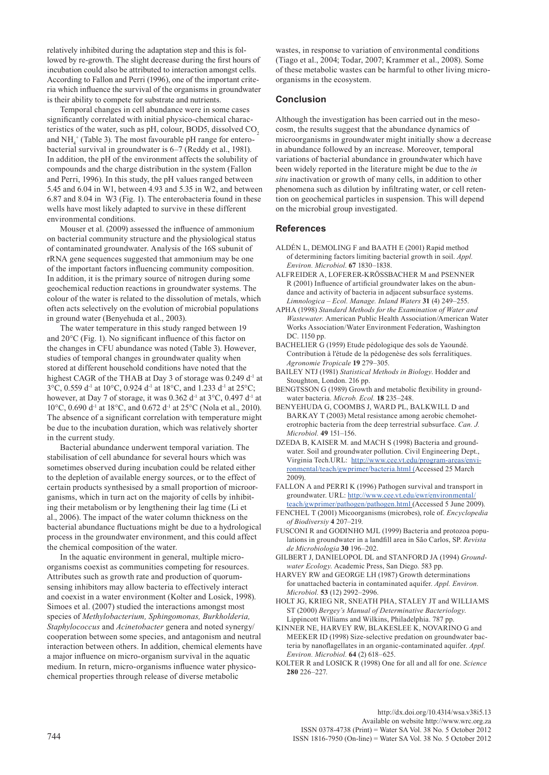relatively inhibited during the adaptation step and this is followed by re-growth. The slight decrease during the first hours of incubation could also be attributed to interaction amongst cells. According to Fallon and Perri (1996), one of the important criteria which influence the survival of the organisms in groundwater is their ability to compete for substrate and nutrients.

Temporal changes in cell abundance were in some cases significantly correlated with initial physico-chemical characteristics of the water, such as pH, colour, BOD5, dissolved CO<sub>2</sub> and  $NH<sub>4</sub><sup>+</sup>$  (Table 3). The most favourable pH range for enterobacterial survival in groundwater is 6–7 (Reddy et al., 1981). In addition, the pH of the environment affects the solubility of compounds and the charge distribution in the system (Fallon and Perri, 1996). In this study, the pH values ranged between 5.45 and 6.04 in W1, between 4.93 and 5.35 in W2, and between 6.87 and 8.04 in W3 (Fig. 1). The enterobacteria found in these wells have most likely adapted to survive in these different environmental conditions.

Mouser et al. (2009) assessed the influence of ammonium on bacterial community structure and the physiological status of contaminated groundwater. Analysis of the 16S subunit of rRNA gene sequences suggested that ammonium may be one of the important factors influencing community composition. In addition, it is the primary source of nitrogen during some geochemical reduction reactions in groundwater systems. The colour of the water is related to the dissolution of metals, which often acts selectively on the evolution of microbial populations in ground water (Benyehuda et al., 2003).

The water temperature in this study ranged between 19 and 20°C (Fig. 1). No significant influence of this factor on the changes in CFU abundance was noted (Table 3). However, studies of temporal changes in groundwater quality when stored at different household conditions have noted that the highest CAGR of the THAB at Day 3 of storage was 0.249 d<sup>-1</sup> at 3°C, 0.559 d-1 at 10°C, 0.924 d-1 at 18°C, and 1.233 d-1 at 25°C; however, at Day 7 of storage, it was 0.362 d<sup>-1</sup> at 3°C, 0.497 d<sup>-1</sup> at 10°C, 0.690 d<sup>-1</sup> at 18°C, and 0.672 d<sup>-1</sup> at 25°C (Nola et al., 2010). The absence of a significant correlation with temperature might be due to the incubation duration, which was relatively shorter in the current study.

Bacterial abundance underwent temporal variation. The stabilisation of cell abundance for several hours which was sometimes observed during incubation could be related either to the depletion of available energy sources, or to the effect of certain products synthesised by a small proportion of microorganisms, which in turn act on the majority of cells by inhibiting their metabolism or by lengthening their lag time (Li et al., 2006). The impact of the water column thickness on the bacterial abundance fluctuations might be due to a hydrological process in the groundwater environment, and this could affect the chemical composition of the water.

In the aquatic environment in general, multiple microorganisms coexist as communities competing for resources. Attributes such as growth rate and production of quorumsensing inhibitors may allow bacteria to effectively interact and coexist in a water environment (Kolter and Losick, 1998). Simoes et al. (2007) studied the interactions amongst most species of *Methylobacterium, Sphingomonas, Burkholderia, Staphylococcus* and *Acinetobacter* genera and noted synergy/ cooperation between some species, and antagonism and neutral interaction between others. In addition, chemical elements have a major influence on micro-organism survival in the aquatic medium. In return, micro-organisms influence water physicochemical properties through release of diverse metabolic

wastes, in response to variation of environmental conditions (Tiago et al., 2004; Todar, 2007; Krammer et al., 2008). Some of these metabolic wastes can be harmful to other living microorganisms in the ecosystem.

# **Conclusion**

Although the investigation has been carried out in the mesocosm, the results suggest that the abundance dynamics of microorganisms in groundwater might initially show a decrease in abundance followed by an increase. Moreover, temporal variations of bacterial abundance in groundwater which have been widely reported in the literature might be due to the *in situ* inactivation or growth of many cells, in addition to other phenomena such as dilution by infiltrating water, or cell retention on geochemical particles in suspension. This will depend on the microbial group investigated.

#### **References**

- ALDÉN L, DEMOLING F and BAATH E (2001) Rapid method of determining factors limiting bacterial growth in soil. *Appl. Environ. Microbiol*. **67** 1830–1838.
- ALFREIDER A, LOFERER-KRÖSSBACHER M and PSENNER R (2001) Influence of artificial groundwater lakes on the abundance and activity of bacteria in adjacent subsurface systems. *[Limnologica – Ecol. Manage. Inland Waters](http://www.sciencedirect.com/science/journal/00759511)* **31** (4) 249–255.
- APHA (1998) *Standard Methods for the Examination of Water and Wastewater*. American Public Health Association/American Water Works Association/Water Environment Federation, Washington DC. 1150 pp.
- BACHELIER G (1959) Etude pédologique des sols de Yaoundé. Contribution à l'étude de la pédogenèse des sols ferralitiques. *Agronomie Tropicale* **19** 279–305.
- BAILEY NTJ (1981) *Statistical Methods in Biology*. Hodder and Stoughton, London. 216 pp.
- BENGTSSON G (1989) Growth and metabolic flexibility in groundwater bacteria. *Microb. Ecol.* **18** 235–248.
- BENYEHUDA G, COOMBS J, WARD PL, BALKWILL D and BARKAY T (2003) Metal resistance among aerobic chemoheterotrophic bacteria from the deep terrestrial subsurface. *Can. J. Microbiol.* **49** 151–156.
- DZEDA B, KAISER M. and MACH S (1998) Bacteria and groundwater. Soil and groundwater pollution. Civil Engineering Dept., Virginia Tech.URL: http://www.cee.vt.edu/program-areas/environmental/teach/gwprimer/bacteria.html (Accessed 25 March 2009).
- FALLON A and PERRI K (1996) Pathogen survival and transport in groundwater. URL: http://www.cee.vt.edu/ewr/environmental/ teach/gwprimer/pathogen/pathogen.html (Accessed 5 June 2009).
- FENCHEL T (2001) Micoorganisms (microbes), role of. *Encyclopedia of Biodiversiy* **4** 207–219.
- FUSCONI R and GODINHO MJL (1999) Bacteria and protozoa populations in groundwater in a landfill area in São Carlos, SP. *Revista de Microbiologia* **30** 196–202.
- GILBERT J, DANIELOPOL DL and STANFORD JA (1994) *Groundwater Ecology*. Academic Press, San Diego. 583 pp.
- HARVEY RW and GEORGE LH (1987) Growth determinations for unattached bacteria in contaminated aquifer. *Appl. Environ. Microbiol.* **53** (12) 2992–2996.
- HOLT JG, KRIEG NR, SNEATH PHA, STALEY JT and WILLIAMS ST (2000) *Bergey's Manual of Determinative Bacteriology*. Lippincott Williams and Wilkins, Philadelphia. 787 pp.

KINNER NE, HARVEY RW, BLAKESLEE K, NOVARINO G and MEEKER ID (1998) Size-selective predation on groundwater bacteria by nanoflagellates in an organic-contaminated aquifer. *Appl. Environ. Microbiol.* **64** (2) 618–625.

KOLTER R and LOSICK R (1998) One for all and all for one. *Science* **280** 226–227.

> [http://dx.doi.org/10.4314/wsa.v38i5.13](http://dx.doi.org/10.4314/wsa.v37i4.18)  Available on website http://www.wrc.org.za

744 ISSN 1816-7950 (On-line) = Water SA Vol. 38 No. 5 October 2012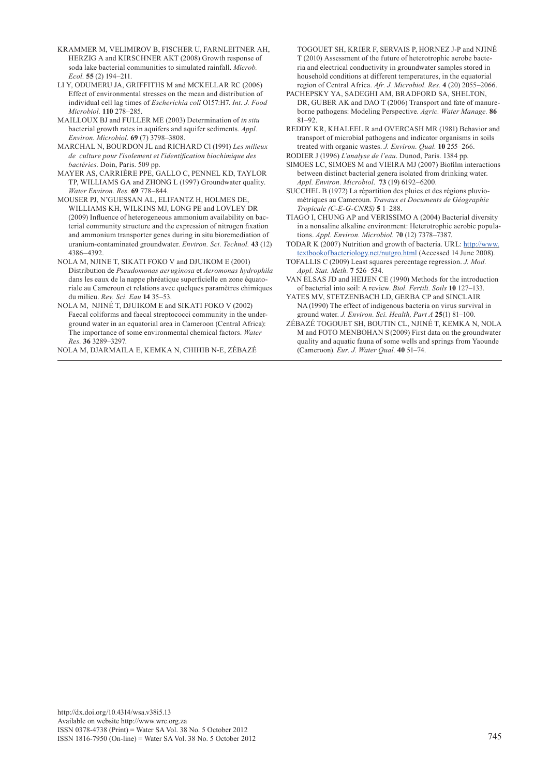- KRAMMER M, VELIMIROV B, FISCHER U, FARNLEITNER AH, HERZIG A and KIRSCHNER AKT (2008) Growth response of soda lake bacterial communities to simulated rainfall. *Microb. Ecol.* **55** (2) 194–211.
- LI Y, ODUMERU JA, GRIFFITHS M and MCKELLAR RC (2006) Effect of environmental stresses on the mean and distribution of individual cell lag times of *Escherichia coli* O157:H7. *Int. J. Food Microbiol.* **110** 278–285.
- MAILLOUX BJ and FULLER ME (2003) Determination of *in situ*  bacterial growth rates in aquifers and aquifer sediments. *Appl. Environ. Microbiol.* **69** (7) 3798–3808.
- MARCHAL N, BOURDON JL and RICHARD Cl (1991) *Les milieux de culture pour l*ʹ*isolement et l*ʹ*identification biochimique des bactéries*. Doin, Paris. 509 pp.
- MAYER AS, CARRIÈRE PPE, GALLO C, PENNEL KD, TAYLOR TP, WILLIAMS GA and ZHONG L (1997) Groundwater quality. *Water Environ. Res.* **69** 778–844.
- MOUSER PJ, N'GUESSAN AL, ELIFANTZ H, HOLMES DE, WILLIAMS KH, WILKINS MJ, LONG PE and LOVLEY DR (2009) Influence of heterogeneous ammonium availability on bacterial community structure and the expression of nitrogen fixation and ammonium transporter genes during in situ bioremediation of uranium-contaminated groundwater. *Environ. Sci. Technol.* **43** (12) 4386–4392.
- NOLA M, NJINE T, SIKATI FOKO V and DJUIKOM E (2001) Distribution de *Pseudomonas aeruginosa* et *Aeromonas hydrophila* dans les eaux de la nappe phréatique superficielle en zone équatoriale au Cameroun et relations avec quelques paramètres chimiques du milieu. *Rev. Sci. Eau* **14** 35–53.
- NOLA M, NJINÉ T, DJUIKOM E and SIKATI FOKO V (2002) Faecal coliforms and faecal streptococci community in the underground water in an equatorial area in Cameroon (Central Africa): The importance of some environmental chemical factors. *Water Res.* **36** 3289–3297.

NOLA M, DJARMAILA E, KEMKA N, CHIHIB N-E, ZÉBAZÉ

TOGOUET SH, KRIER F, SERVAIS P, HORNEZ J-P and NJINÉ T (2010) Assessment of the future of heterotrophic aerobe bacteria and electrical conductivity in groundwater samples stored in household conditions at different temperatures, in the equatorial region of Central Africa. *Afr. J. Microbiol. Res.* **4** (20) 2055–2066.

- PACHEPSKY YA, SADEGHI AM, BRADFORD SA, SHELTON, DR, GUBER AK and DAO T (2006) Transport and fate of manureborne pathogens: Modeling Perspective. *Agric. Water Manage.* **86**  $81 - 92$
- REDDY KR, KHALEEL R and OVERCASH MR (1981) Behavior and transport of microbial pathogens and indicator organisms in soils treated with organic wastes. *J. Environ. Qual.* **10** 255–266. RODIER J (1996) *L'analyse de l'eau*. Dunod, Paris. 1384 pp.
- SIMOES LC, SIMOES M and VIEIRA MJ (2007) Biofilm interactions between distinct bacterial genera isolated from drinking water. *Appl. Environ. Microbiol*. **73** (19) 6192–6200.
- SUCCHEL B (1972) La répartition des pluies et des régions pluviométriques au Cameroun. *Travaux et Documents de Géographie Tropicale (C-E-G-CNRS)* **5** 1–288.
- TIAGO I, CHUNG AP and VERISSIMO A (2004) Bacterial diversity in a nonsaline alkaline environment: Heterotrophic aerobic populations. *Appl. Environ. Microbiol.* 7**0** (12) 7378–7387.
- TODAR K (2007) Nutrition and growth of bacteria. URL: http://www. textbookofbacteriology.net/nutgro.html (Accessed 14 June 2008).
- TOFALLIS C (2009) Least squares percentage regression. *J. Mod. Appl. Stat. Meth.* **7** 526–534.
- VAN ELSAS JD and HEIJEN CE (1990) Methods for the introduction of bacterial into soil: A review. *Biol. Fertili. Soils* **10** 127–133.
- YATES MV, STETZENBACH LD, GERBA CP and SINCLAIR NA (1990) The effect of indigenous bacteria on virus survival in ground water. *[J. Environ. Sci. Health, Part A](http://www.informaworld.com/smpp/title~content=t713597268~db=all)* **25**(1) 81–100.
- ZÉBAZÉ TOGOUET SH, BOUTIN CL, NJINÉ T, KEMKA N, NOLA M and FOTO MENBOHAN S (2009) First data on the groundwater quality and aquatic fauna of some wells and springs from Yaounde (Cameroon). *Eur. J. Water Qual.* **40** 51–74.